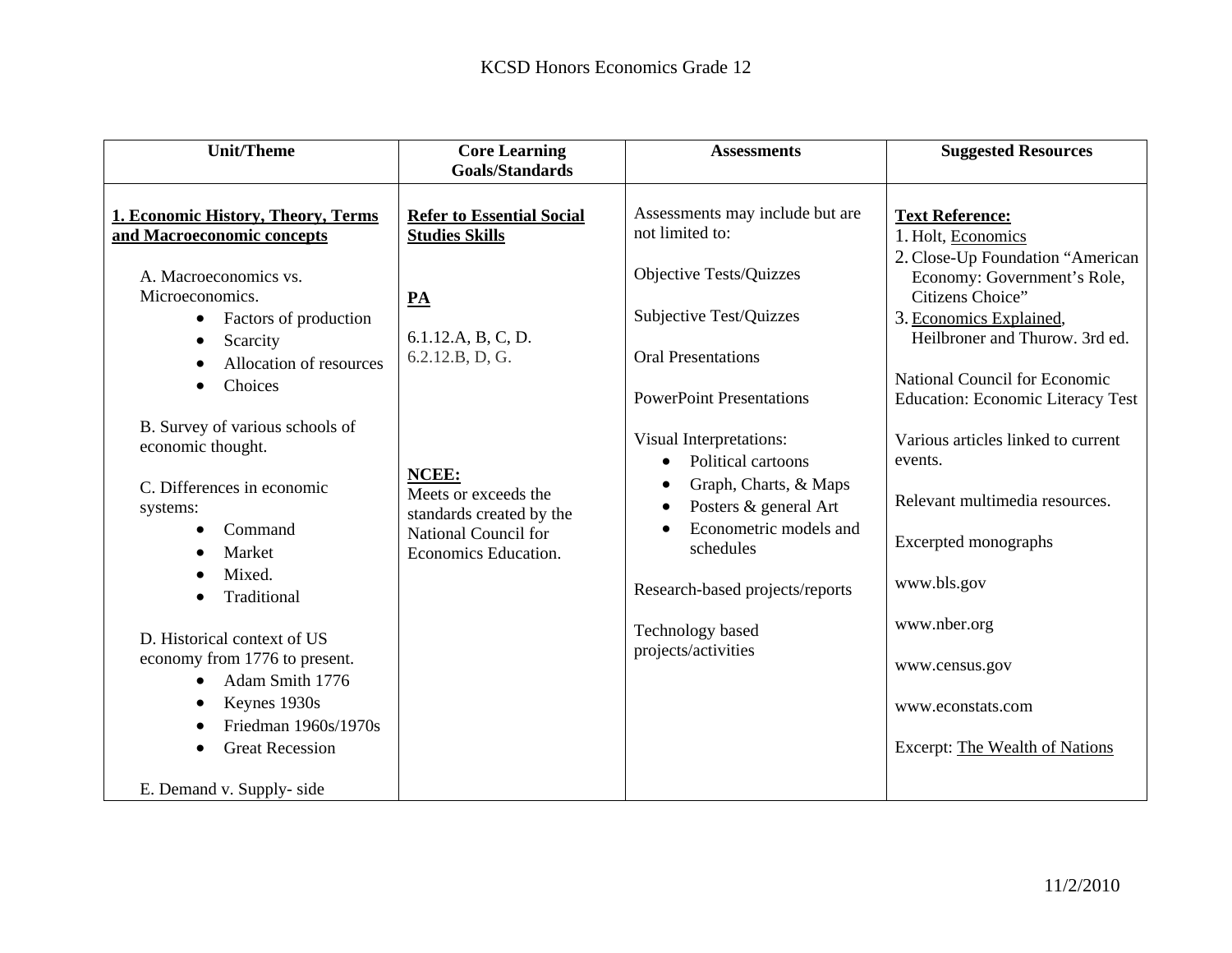| <b>Core Learning</b>                                                                                                   | <b>Assessments</b>                                                                                                                                                                                                   | <b>Suggested Resources</b>                                                                                                                                                                                                                                                    |
|------------------------------------------------------------------------------------------------------------------------|----------------------------------------------------------------------------------------------------------------------------------------------------------------------------------------------------------------------|-------------------------------------------------------------------------------------------------------------------------------------------------------------------------------------------------------------------------------------------------------------------------------|
|                                                                                                                        |                                                                                                                                                                                                                      |                                                                                                                                                                                                                                                                               |
| <b>Refer to Essential Social</b><br><b>Studies Skills</b><br>$P_{\mathbf{A}}$<br>6.1.12.A, B, C, D.<br>6.2.12.B, D, G. | Assessments may include but are<br>not limited to:<br>Objective Tests/Quizzes<br>Subjective Test/Quizzes<br><b>Oral Presentations</b><br><b>PowerPoint Presentations</b>                                             | <b>Text Reference:</b><br>1. Holt, Economics<br>2. Close-Up Foundation "American<br>Economy: Government's Role,<br>Citizens Choice"<br>3. Economics Explained,<br>Heilbroner and Thurow. 3rd ed.<br>National Council for Economic<br><b>Education: Economic Literacy Test</b> |
| NCEE:<br>Meets or exceeds the<br>standards created by the<br>National Council for<br>Economics Education.              | Visual Interpretations:<br>Political cartoons<br>Graph, Charts, & Maps<br>Posters & general Art<br>Econometric models and<br>schedules<br>Research-based projects/reports<br>Technology based<br>projects/activities | Various articles linked to current<br>events.<br>Relevant multimedia resources.<br>Excerpted monographs<br>www.bls.gov<br>www.nber.org<br>www.census.gov<br>www.econstats.com<br><b>Excerpt: The Wealth of Nations</b>                                                        |
|                                                                                                                        | <b>Goals/Standards</b>                                                                                                                                                                                               |                                                                                                                                                                                                                                                                               |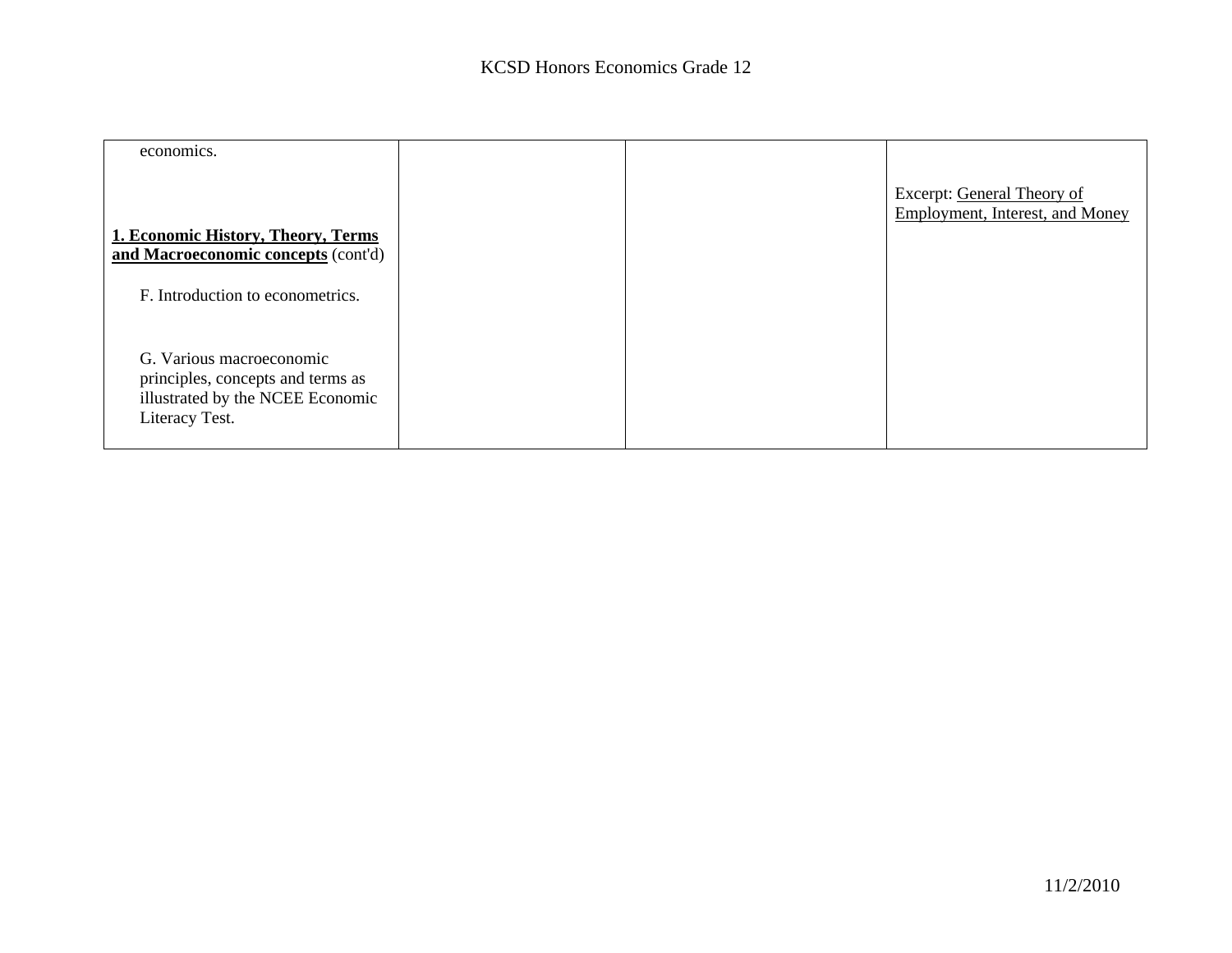| economics.                                                                                                          |  |                                                                      |
|---------------------------------------------------------------------------------------------------------------------|--|----------------------------------------------------------------------|
| 1. Economic History, Theory, Terms<br>and Macroeconomic concepts (cont'd)                                           |  | Excerpt: General Theory of<br><b>Employment, Interest, and Money</b> |
| F. Introduction to econometrics.                                                                                    |  |                                                                      |
| G. Various macroeconomic<br>principles, concepts and terms as<br>illustrated by the NCEE Economic<br>Literacy Test. |  |                                                                      |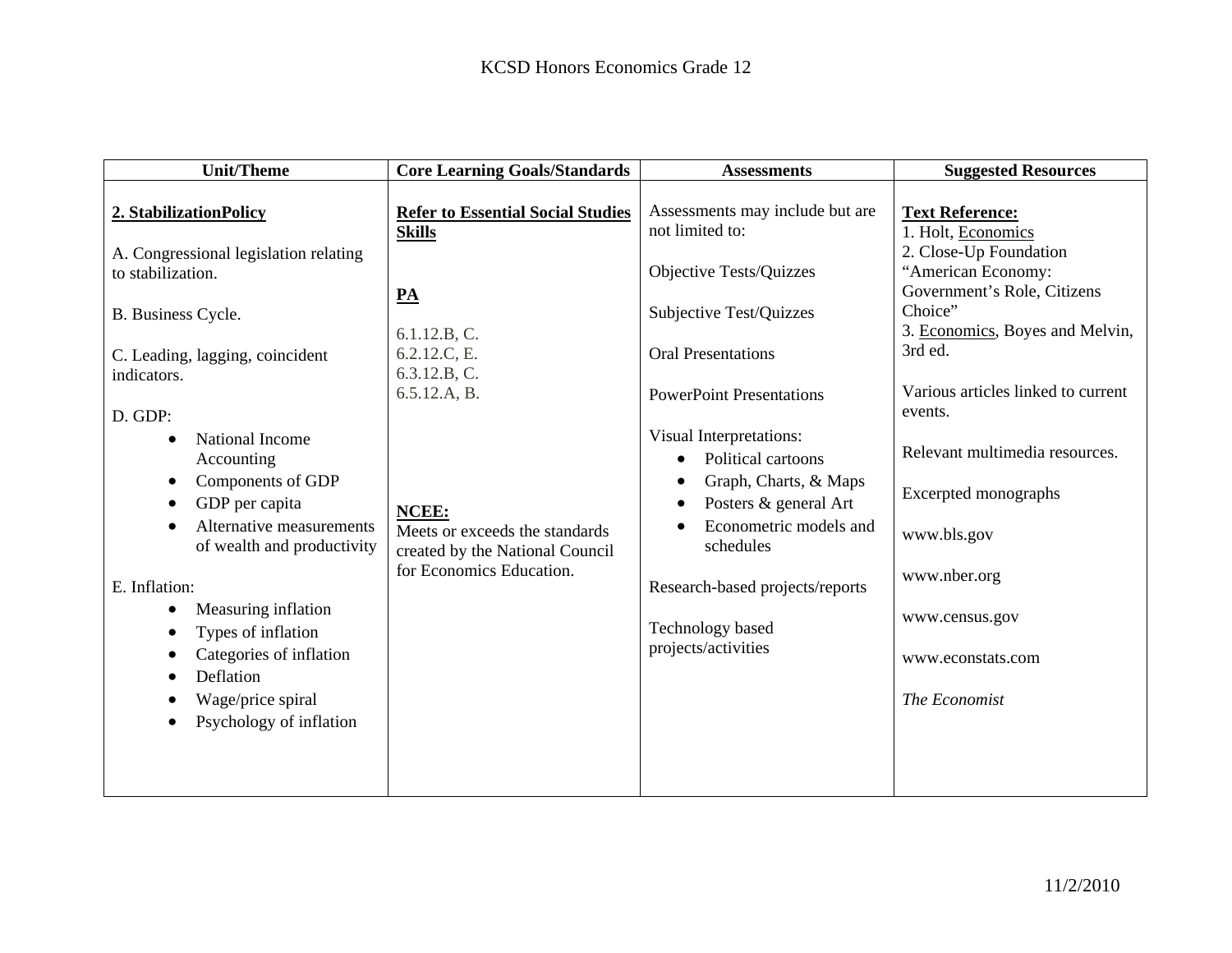| <b>Unit/Theme</b>                                                                                                                                                                                                                                                                                                         | <b>Core Learning Goals/Standards</b>                                                                   | <b>Assessments</b>                                                                                                                                                                                                                                  | <b>Suggested Resources</b>                                                                                                                               |
|---------------------------------------------------------------------------------------------------------------------------------------------------------------------------------------------------------------------------------------------------------------------------------------------------------------------------|--------------------------------------------------------------------------------------------------------|-----------------------------------------------------------------------------------------------------------------------------------------------------------------------------------------------------------------------------------------------------|----------------------------------------------------------------------------------------------------------------------------------------------------------|
| 2. Stabilization Policy<br>A. Congressional legislation relating                                                                                                                                                                                                                                                          | <b>Refer to Essential Social Studies</b><br><b>Skills</b>                                              | Assessments may include but are<br>not limited to:                                                                                                                                                                                                  | <b>Text Reference:</b><br>1. Holt, Economics<br>2. Close-Up Foundation                                                                                   |
| to stabilization.                                                                                                                                                                                                                                                                                                         |                                                                                                        | Objective Tests/Quizzes                                                                                                                                                                                                                             | "American Economy:<br>Government's Role, Citizens                                                                                                        |
| B. Business Cycle.<br>C. Leading, lagging, coincident                                                                                                                                                                                                                                                                     | PA<br>6.1.12.B, C.<br>6.2.12.C, E.                                                                     | Subjective Test/Quizzes<br><b>Oral Presentations</b>                                                                                                                                                                                                | Choice"<br>3. Economics, Boyes and Melvin,<br>3rd ed.                                                                                                    |
| indicators.                                                                                                                                                                                                                                                                                                               | 6.3.12.B, C.<br>6.5.12.A, B.                                                                           | <b>PowerPoint Presentations</b>                                                                                                                                                                                                                     | Various articles linked to current                                                                                                                       |
| D. GDP:<br>National Income<br>Accounting<br>Components of GDP<br>GDP per capita<br>Alternative measurements<br>of wealth and productivity<br>E. Inflation:<br>Measuring inflation<br>$\bullet$<br>Types of inflation<br>$\bullet$<br>Categories of inflation<br>Deflation<br>Wage/price spiral<br>Psychology of inflation | NCEE:<br>Meets or exceeds the standards<br>created by the National Council<br>for Economics Education. | Visual Interpretations:<br>Political cartoons<br>$\bullet$<br>Graph, Charts, & Maps<br>٠<br>Posters & general Art<br>$\bullet$<br>Econometric models and<br>schedules<br>Research-based projects/reports<br>Technology based<br>projects/activities | events.<br>Relevant multimedia resources.<br>Excerpted monographs<br>www.bls.gov<br>www.nber.org<br>www.census.gov<br>www.econstats.com<br>The Economist |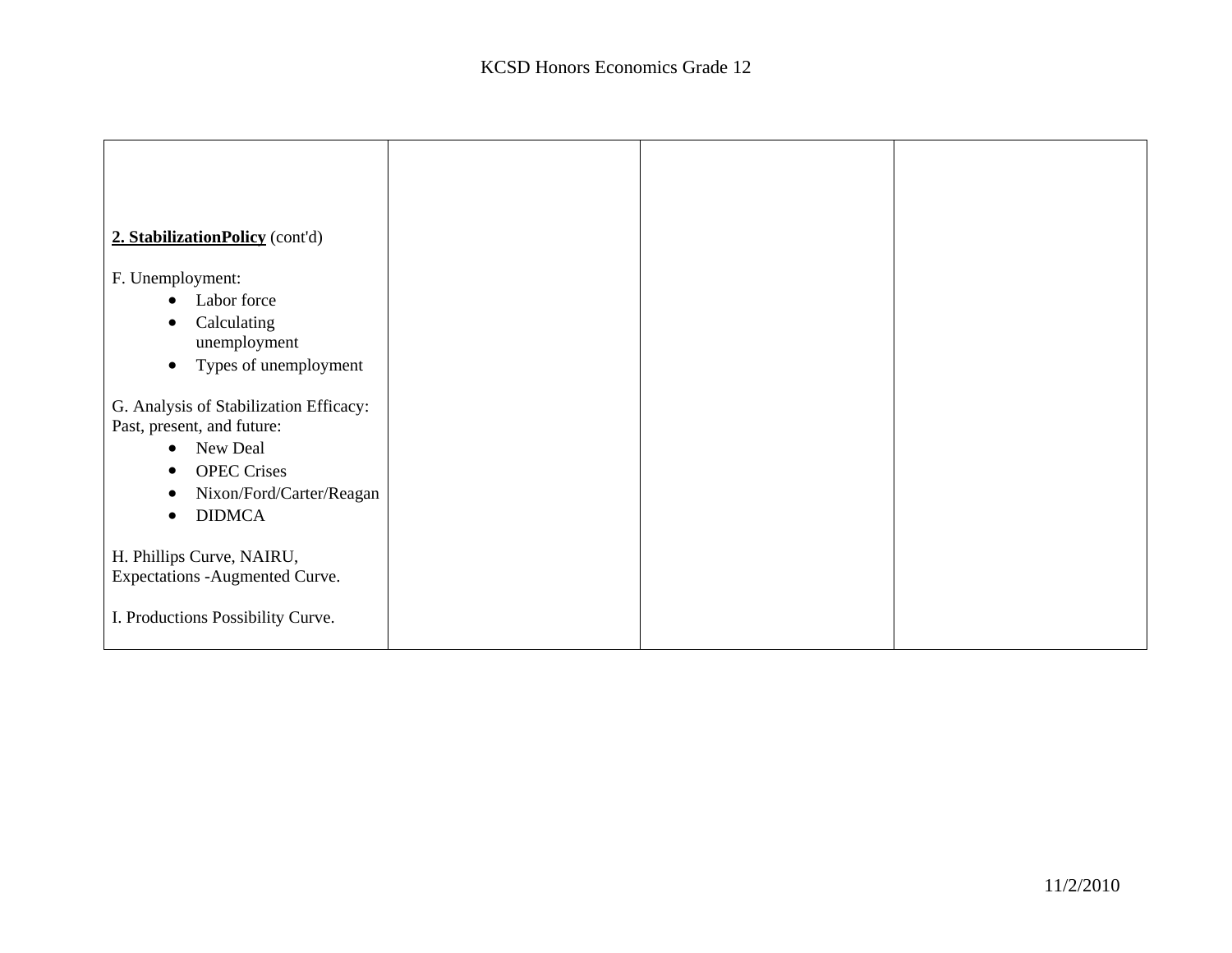| 2. Stabilization Policy (cont'd)       |
|----------------------------------------|
|                                        |
| F. Unemployment:                       |
| Labor force<br>$\bullet$               |
| Calculating<br>$\bullet$               |
| unemployment                           |
| Types of unemployment<br>$\bullet$     |
|                                        |
| G. Analysis of Stabilization Efficacy: |
| Past, present, and future:             |
| New Deal<br>$\bullet$                  |
| <b>OPEC Crises</b><br>$\bullet$        |
| Nixon/Ford/Carter/Reagan               |
| <b>DIDMCA</b><br>$\bullet$             |
|                                        |
| H. Phillips Curve, NAIRU,              |
| Expectations - Augmented Curve.        |
|                                        |
| I. Productions Possibility Curve.      |
|                                        |
|                                        |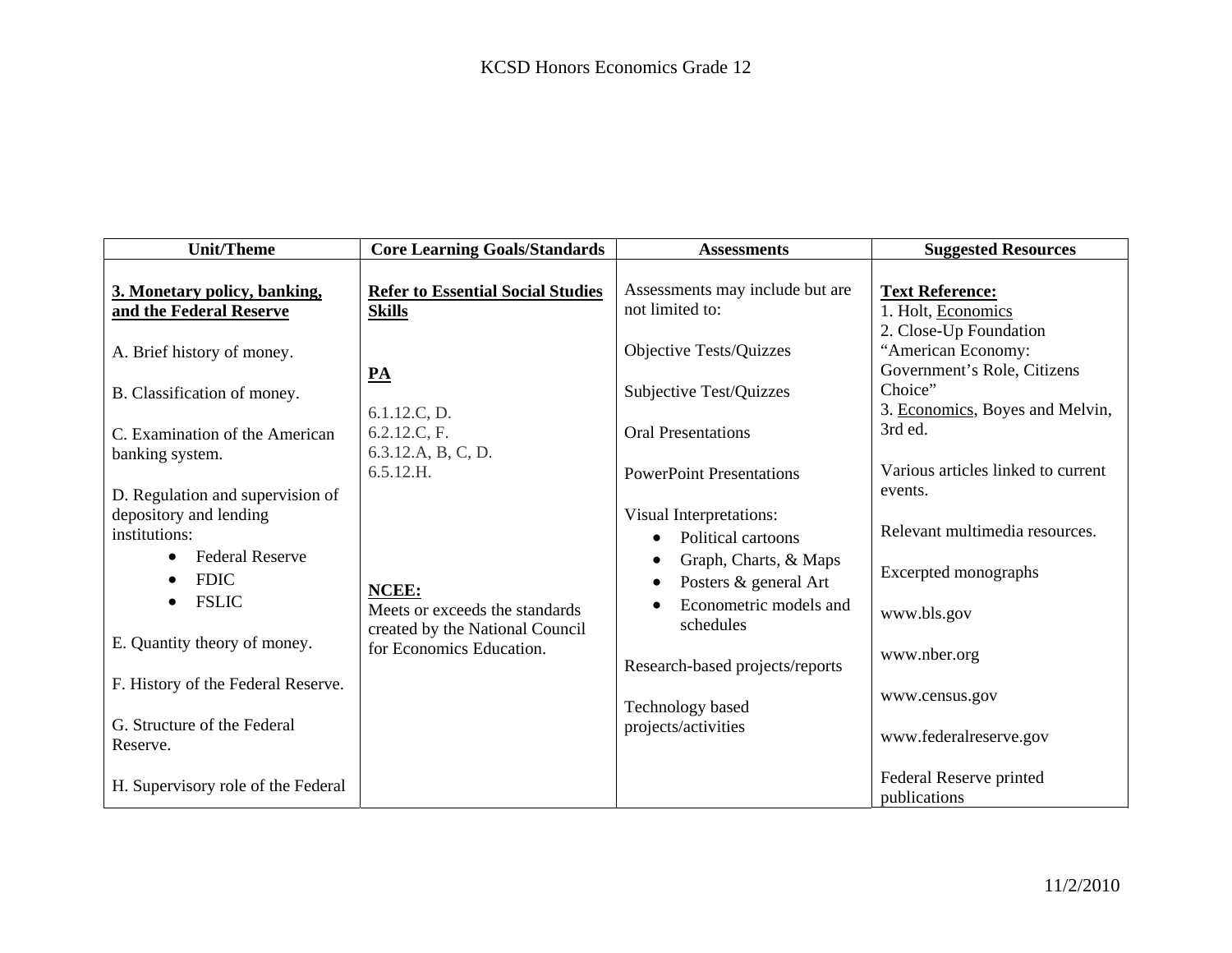| <b>Unit/Theme</b>                                                                                                                    | <b>Core Learning Goals/Standards</b>                        | <b>Assessments</b>                                                                                                                                                    | <b>Suggested Resources</b>                                                                      |
|--------------------------------------------------------------------------------------------------------------------------------------|-------------------------------------------------------------|-----------------------------------------------------------------------------------------------------------------------------------------------------------------------|-------------------------------------------------------------------------------------------------|
| 3. Monetary policy, banking,<br>and the Federal Reserve                                                                              | <b>Refer to Essential Social Studies</b><br><b>Skills</b>   | Assessments may include but are<br>not limited to:                                                                                                                    | <b>Text Reference:</b><br>1. Holt, Economics<br>2. Close-Up Foundation                          |
| A. Brief history of money.<br>B. Classification of money.                                                                            | $\underline{\mathbf{PA}}$<br>6.1.12.C, D.                   | Objective Tests/Quizzes<br>Subjective Test/Quizzes                                                                                                                    | "American Economy:<br>Government's Role, Citizens<br>Choice"<br>3. Economics, Boyes and Melvin, |
| C. Examination of the American<br>banking system.                                                                                    | 6.2.12.C, F.<br>6.3.12.A, B, C, D.<br>6.5.12.H.             | <b>Oral Presentations</b><br><b>PowerPoint Presentations</b>                                                                                                          | 3rd ed.<br>Various articles linked to current                                                   |
| D. Regulation and supervision of<br>depository and lending<br>institutions:<br><b>Federal Reserve</b><br><b>FDIC</b><br><b>FSLIC</b> | NCEE:<br>Meets or exceeds the standards                     | Visual Interpretations:<br>Political cartoons<br>$\bullet$<br>Graph, Charts, & Maps<br>٠<br>Posters & general Art<br>$\bullet$<br>Econometric models and<br>schedules | events.<br>Relevant multimedia resources.<br>Excerpted monographs<br>www.bls.gov                |
| E. Quantity theory of money.<br>F. History of the Federal Reserve.<br>G. Structure of the Federal<br>Reserve.                        | created by the National Council<br>for Economics Education. | Research-based projects/reports<br>Technology based<br>projects/activities                                                                                            | www.nber.org<br>www.census.gov<br>www.federalreserve.gov                                        |
| H. Supervisory role of the Federal                                                                                                   |                                                             |                                                                                                                                                                       | Federal Reserve printed<br>publications                                                         |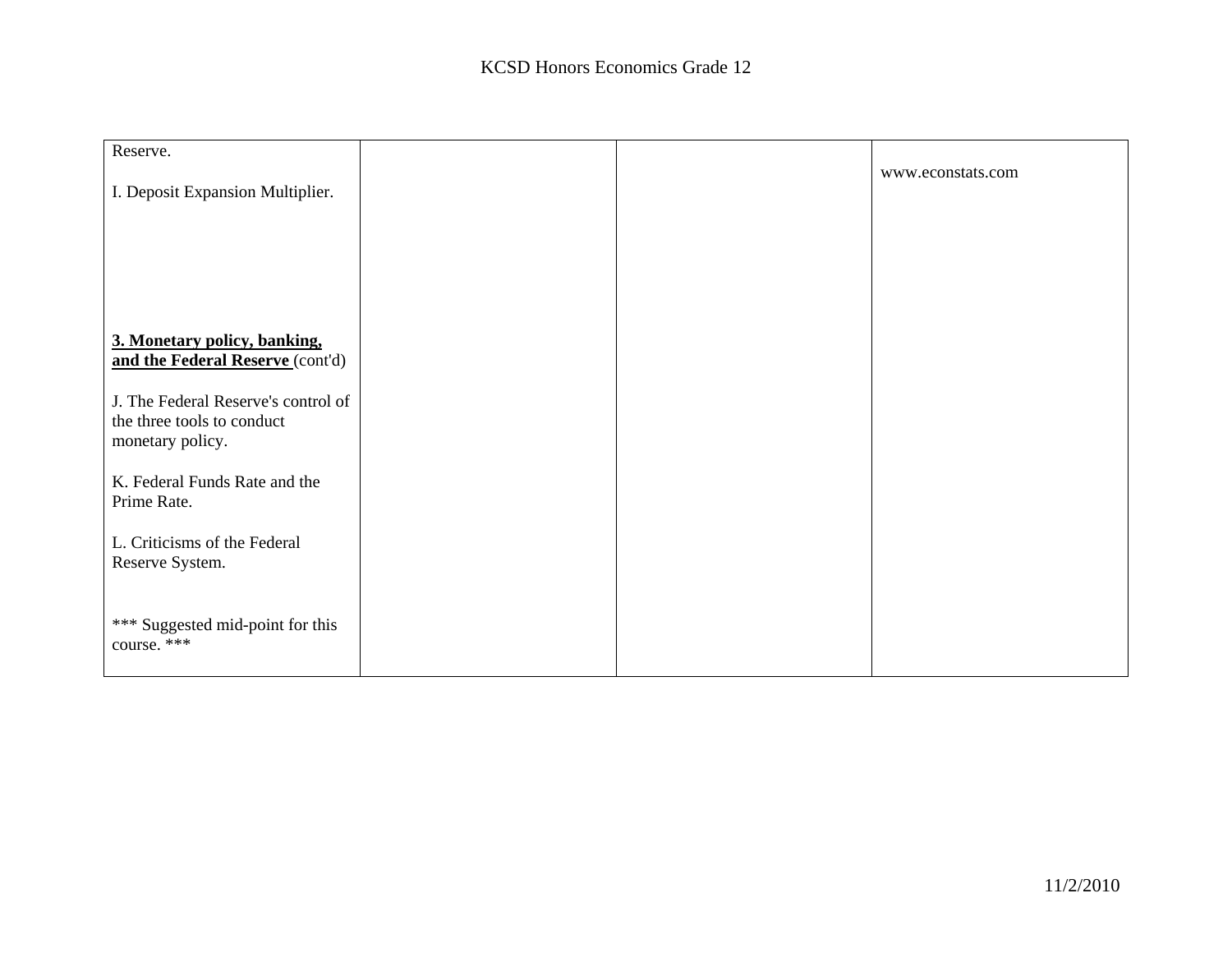| Reserve.                                                          |  | www.econstats.com |
|-------------------------------------------------------------------|--|-------------------|
| I. Deposit Expansion Multiplier.                                  |  |                   |
|                                                                   |  |                   |
|                                                                   |  |                   |
|                                                                   |  |                   |
|                                                                   |  |                   |
| 3. Monetary policy, banking,<br>and the Federal Reserve (cont'd)  |  |                   |
| J. The Federal Reserve's control of<br>the three tools to conduct |  |                   |
| monetary policy.                                                  |  |                   |
| K. Federal Funds Rate and the                                     |  |                   |
| Prime Rate.                                                       |  |                   |
| L. Criticisms of the Federal                                      |  |                   |
| Reserve System.                                                   |  |                   |
| *** Suggested mid-point for this                                  |  |                   |
| course. ***                                                       |  |                   |
|                                                                   |  |                   |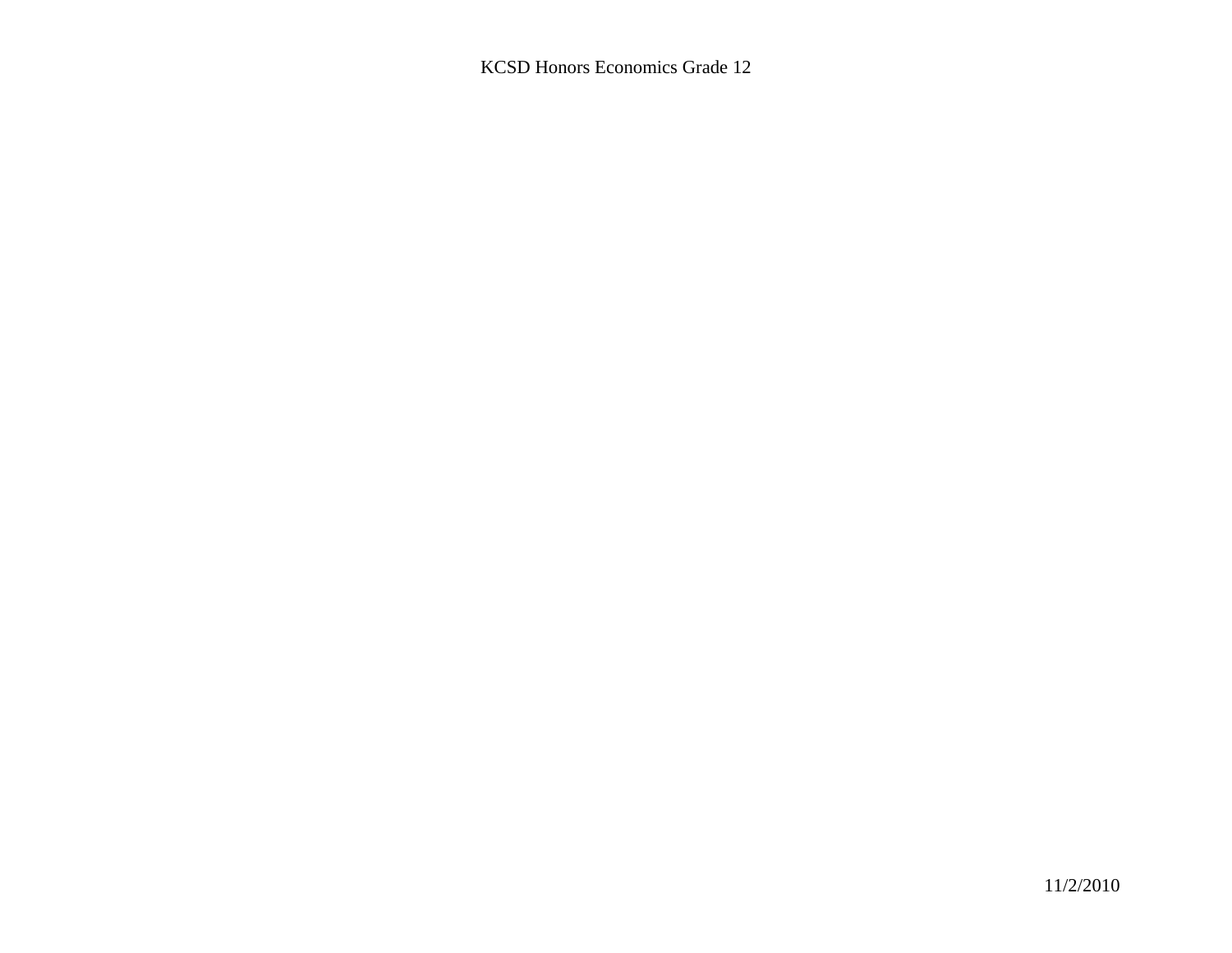KCSD Honors Economics Grade 12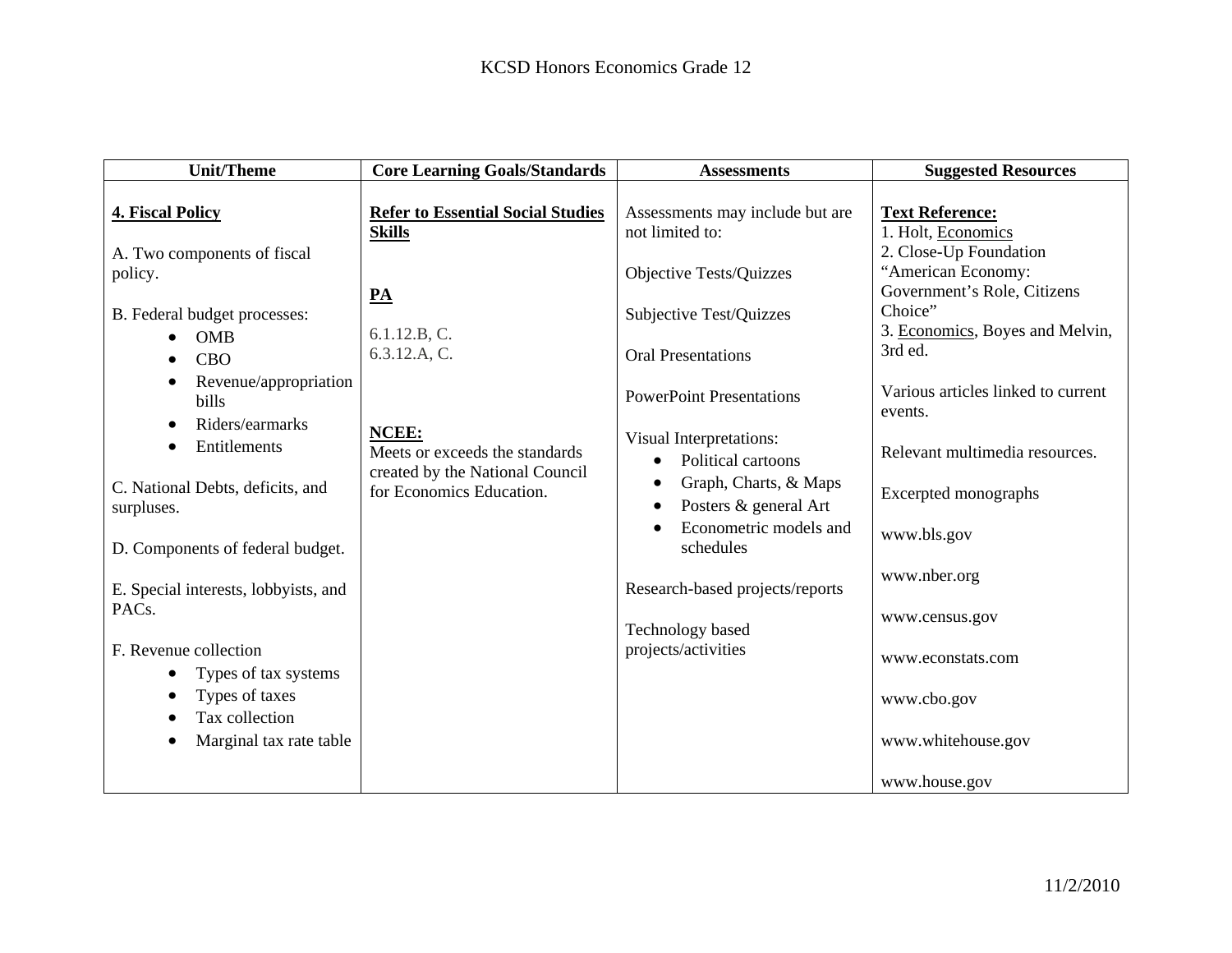| <b>Unit/Theme</b>                                      | <b>Core Learning Goals/Standards</b>                                       | <b>Assessments</b>                                         | <b>Suggested Resources</b>                                             |
|--------------------------------------------------------|----------------------------------------------------------------------------|------------------------------------------------------------|------------------------------------------------------------------------|
| <b>4. Fiscal Policy</b><br>A. Two components of fiscal | <b>Refer to Essential Social Studies</b><br><b>Skills</b>                  | Assessments may include but are<br>not limited to:         | <b>Text Reference:</b><br>1. Holt, Economics<br>2. Close-Up Foundation |
| policy.                                                | $\mathbf{PA}$                                                              | <b>Objective Tests/Quizzes</b>                             | "American Economy:<br>Government's Role, Citizens                      |
| B. Federal budget processes:<br><b>OMB</b>             | 6.1.12.B, C.                                                               | Subjective Test/Quizzes                                    | Choice"<br>3. Economics, Boyes and Melvin,                             |
| CBO                                                    | 6.3.12.A, C.                                                               | <b>Oral Presentations</b>                                  | 3rd ed.                                                                |
| Revenue/appropriation<br>bills                         |                                                                            | <b>PowerPoint Presentations</b>                            | Various articles linked to current<br>events.                          |
| Riders/earmarks<br>Entitlements                        | NCEE:<br>Meets or exceeds the standards<br>created by the National Council | Visual Interpretations:<br>Political cartoons<br>$\bullet$ | Relevant multimedia resources.                                         |
| C. National Debts, deficits, and<br>surpluses.         | for Economics Education.                                                   | Graph, Charts, & Maps<br>Posters & general Art             | <b>Excerpted monographs</b>                                            |
| D. Components of federal budget.                       |                                                                            | Econometric models and<br>schedules                        | www.bls.gov                                                            |
| E. Special interests, lobbyists, and                   |                                                                            | Research-based projects/reports                            | www.nber.org                                                           |
| PAC <sub>s</sub> .                                     |                                                                            | Technology based                                           | www.census.gov                                                         |
| F. Revenue collection<br>Types of tax systems          |                                                                            | projects/activities                                        | www.econstats.com                                                      |
| Types of taxes<br>Tax collection                       |                                                                            |                                                            | www.cbo.gov                                                            |
| Marginal tax rate table                                |                                                                            |                                                            | www.whitehouse.gov                                                     |
|                                                        |                                                                            |                                                            | www.house.gov                                                          |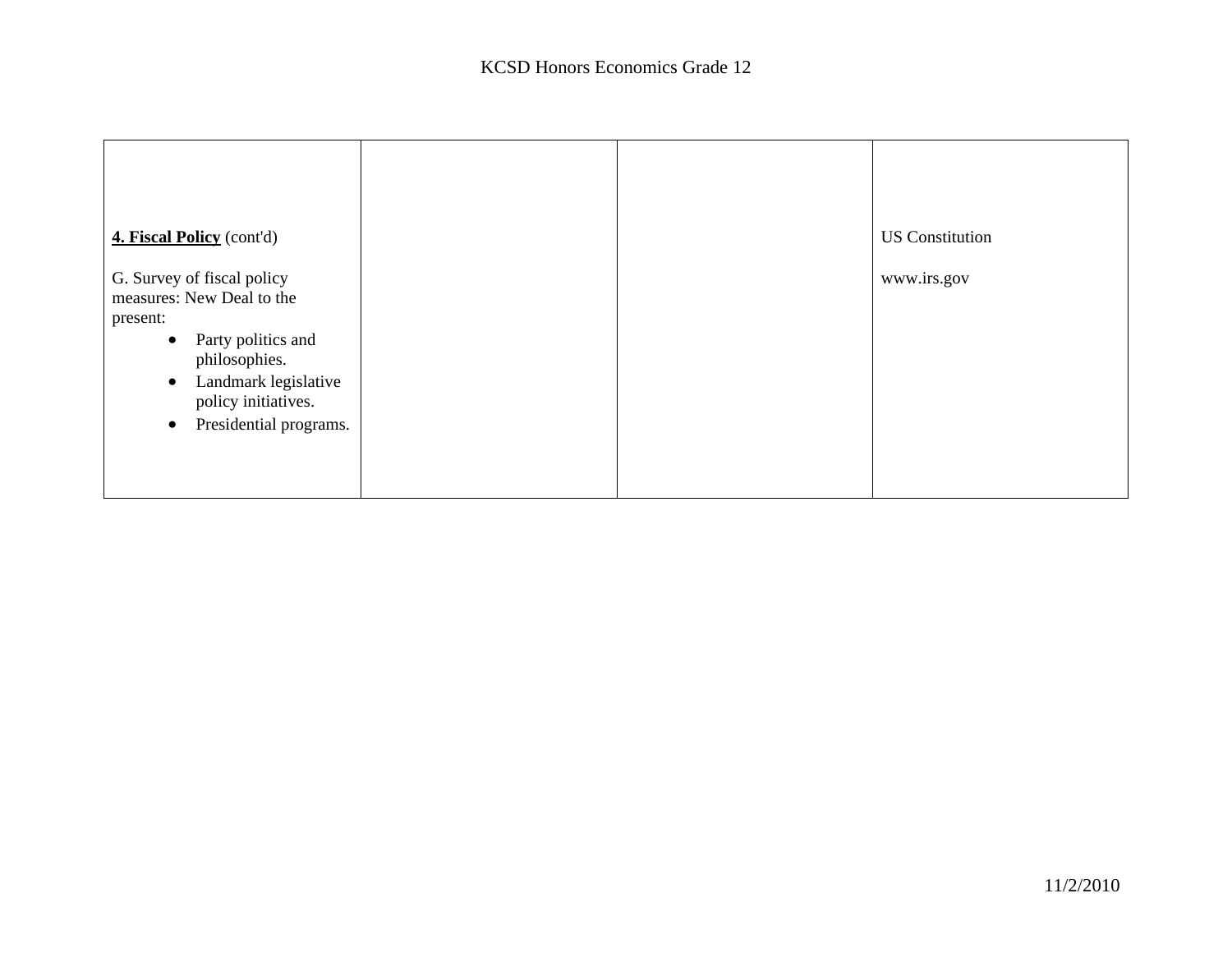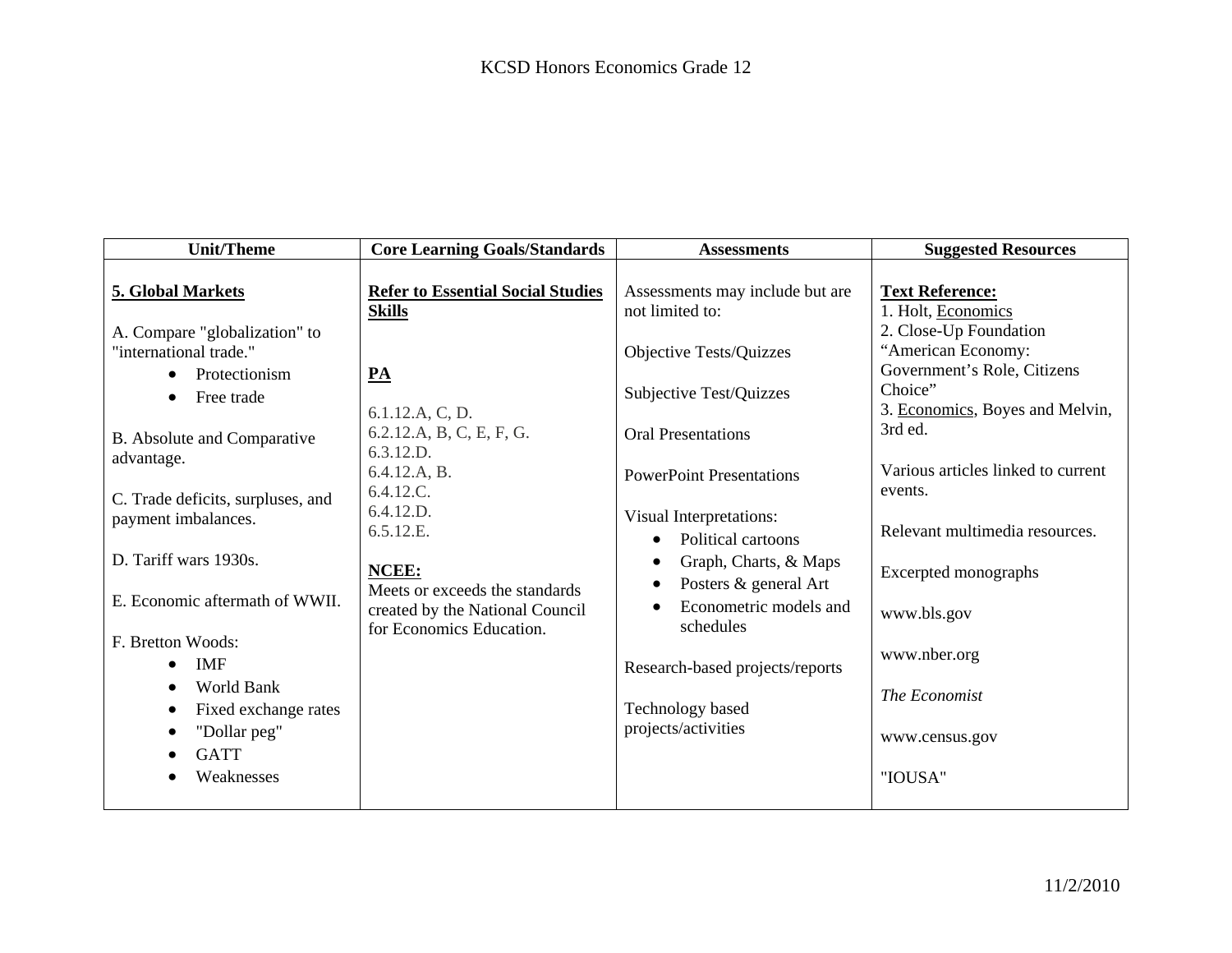| <b>Unit/Theme</b>                                                                                                                                | <b>Core Learning Goals/Standards</b>                                                  | <b>Assessments</b>                                                                            | <b>Suggested Resources</b>                                                                                                           |
|--------------------------------------------------------------------------------------------------------------------------------------------------|---------------------------------------------------------------------------------------|-----------------------------------------------------------------------------------------------|--------------------------------------------------------------------------------------------------------------------------------------|
| 5. Global Markets                                                                                                                                | <b>Refer to Essential Social Studies</b><br><b>Skills</b>                             | Assessments may include but are<br>not limited to:                                            | <b>Text Reference:</b><br>1. Holt, Economics                                                                                         |
| A. Compare "globalization" to<br>"international trade."<br>Protectionism<br>$\bullet$<br>Free trade<br>B. Absolute and Comparative<br>advantage. | $\underline{\mathbf{PA}}$<br>6.1.12.A, C, D.<br>6.2.12.A, B, C, E, F, G.<br>6.3.12.D. | Objective Tests/Quizzes<br>Subjective Test/Quizzes<br><b>Oral Presentations</b>               | 2. Close-Up Foundation<br>"American Economy:<br>Government's Role, Citizens<br>Choice"<br>3. Economics, Boyes and Melvin,<br>3rd ed. |
| C. Trade deficits, surpluses, and<br>payment imbalances.                                                                                         | 6.4.12.A, B.<br>6.4.12.C.<br>6.4.12.D.<br>6.5.12.E.                                   | <b>PowerPoint Presentations</b><br>Visual Interpretations:<br>Political cartoons<br>$\bullet$ | Various articles linked to current<br>events.<br>Relevant multimedia resources.                                                      |
| D. Tariff wars 1930s.<br>E. Economic aftermath of WWII.                                                                                          | NCEE:<br>Meets or exceeds the standards<br>created by the National Council            | Graph, Charts, & Maps<br>Posters & general Art<br>٠<br>Econometric models and<br>schedules    | Excerpted monographs<br>www.bls.gov                                                                                                  |
| F. Bretton Woods:<br><b>IMF</b><br>$\bullet$<br>World Bank<br>Fixed exchange rates<br>"Dollar peg"<br><b>GATT</b><br>Weaknesses                  | for Economics Education.                                                              | Research-based projects/reports<br>Technology based<br>projects/activities                    | www.nber.org<br>The Economist<br>www.census.gov<br>"IOUSA"                                                                           |
|                                                                                                                                                  |                                                                                       |                                                                                               |                                                                                                                                      |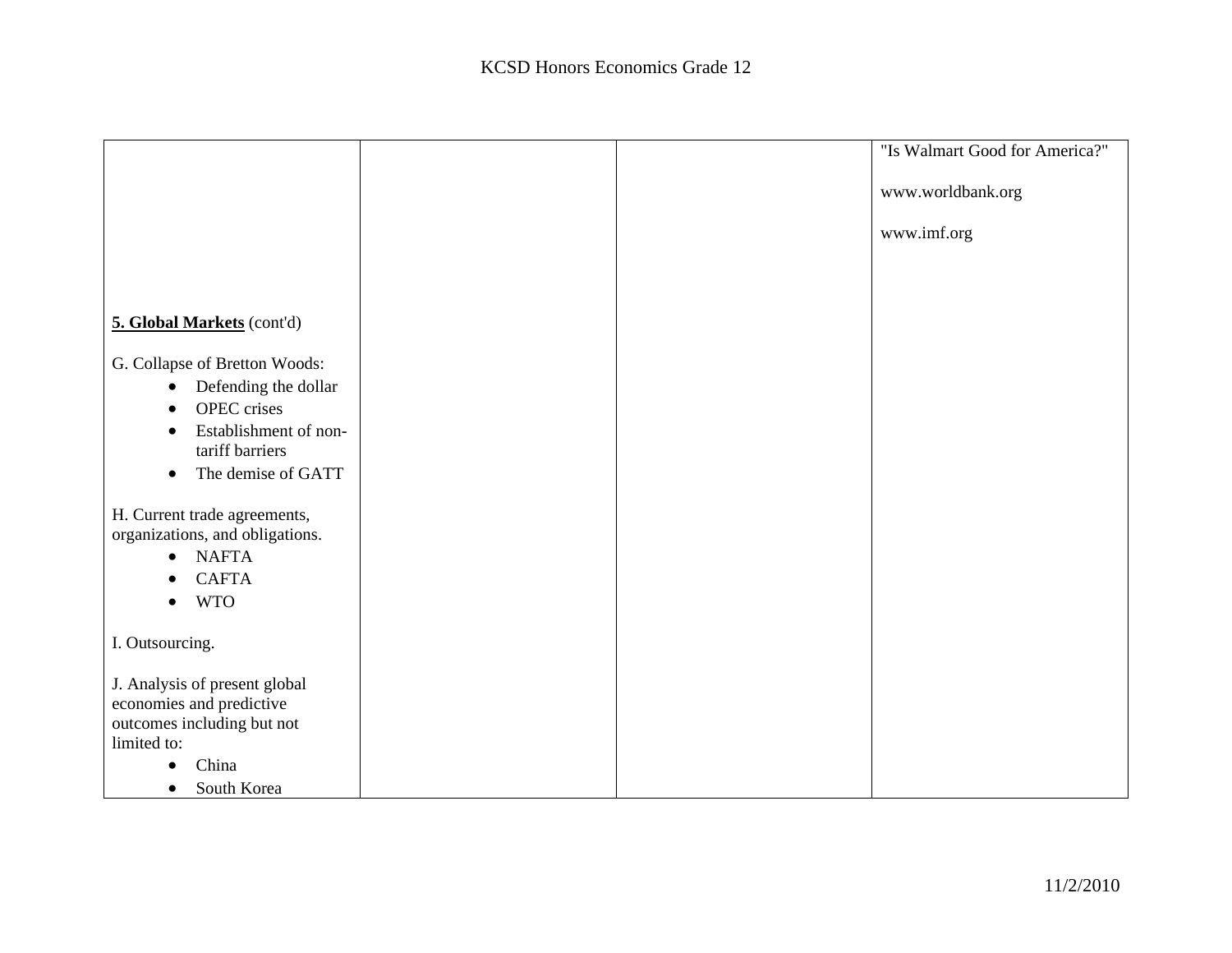|                                                                 | "Is Walmart Good for America?" |
|-----------------------------------------------------------------|--------------------------------|
|                                                                 |                                |
|                                                                 | www.worldbank.org              |
|                                                                 | www.imf.org                    |
|                                                                 |                                |
|                                                                 |                                |
| 5. Global Markets (cont'd)                                      |                                |
|                                                                 |                                |
| G. Collapse of Bretton Woods:                                   |                                |
| Defending the dollar<br>$\bullet$                               |                                |
| OPEC crises<br>$\bullet$                                        |                                |
| Establishment of non-<br>$\bullet$<br>tariff barriers           |                                |
| The demise of GATT<br>$\bullet$                                 |                                |
|                                                                 |                                |
| H. Current trade agreements,<br>organizations, and obligations. |                                |
| <b>NAFTA</b><br>$\bullet$                                       |                                |
| <b>CAFTA</b>                                                    |                                |
| <b>WTO</b><br>$\bullet$                                         |                                |
| I. Outsourcing.                                                 |                                |
|                                                                 |                                |
| J. Analysis of present global                                   |                                |
| economies and predictive                                        |                                |
| outcomes including but not<br>limited to:                       |                                |
| China                                                           |                                |
| South Korea                                                     |                                |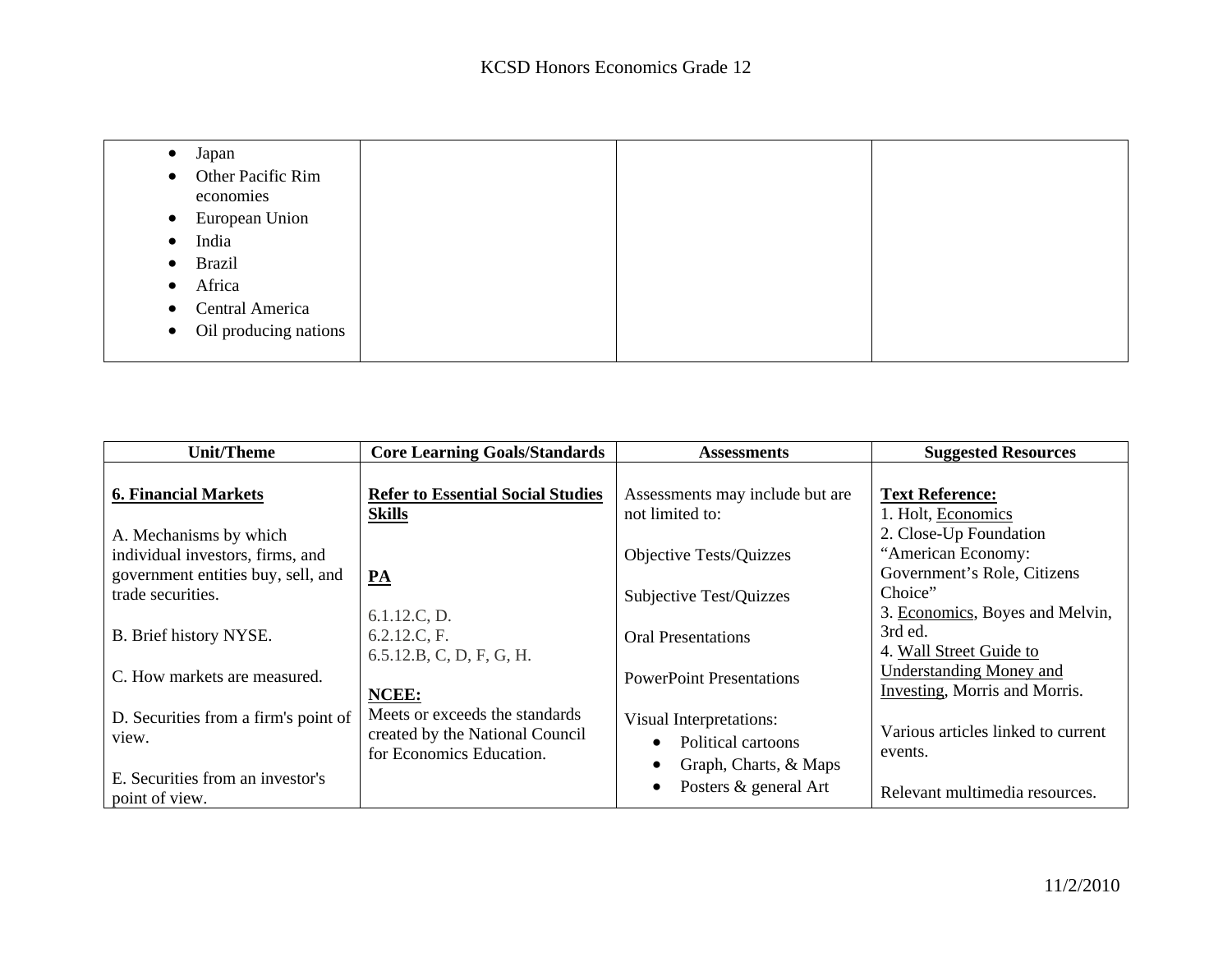| $\bullet$ | Japan                   |  |  |
|-----------|-------------------------|--|--|
| $\bullet$ | Other Pacific Rim       |  |  |
|           | economies               |  |  |
| $\bullet$ | European Union          |  |  |
| $\bullet$ | India                   |  |  |
| $\bullet$ | <b>Brazil</b>           |  |  |
| $\bullet$ | Africa                  |  |  |
| $\bullet$ | Central America         |  |  |
|           | • Oil producing nations |  |  |
|           |                         |  |  |

| <b>Unit/Theme</b>                                                                                | <b>Core Learning Goals/Standards</b>                                                          | <b>Assessments</b>                                                                  | <b>Suggested Resources</b>                                                       |
|--------------------------------------------------------------------------------------------------|-----------------------------------------------------------------------------------------------|-------------------------------------------------------------------------------------|----------------------------------------------------------------------------------|
| <b>6. Financial Markets</b>                                                                      | <b>Refer to Essential Social Studies</b><br><b>Skills</b>                                     | Assessments may include but are<br>not limited to:                                  | <b>Text Reference:</b><br>1. Holt, Economics<br>2. Close-Up Foundation           |
| A. Mechanisms by which<br>individual investors, firms, and<br>government entities buy, sell, and | $P\underline{A}$                                                                              | <b>Objective Tests/Quizzes</b>                                                      | "American Economy:<br>Government's Role, Citizens                                |
| trade securities.<br>B. Brief history NYSE.                                                      | 6.1.12.C, D.<br>6.2.12.C, F.                                                                  | Subjective Test/Quizzes<br><b>Oral Presentations</b>                                | Choice"<br>3. Economics, Boyes and Melvin,<br>3rd ed.<br>4. Wall Street Guide to |
| C. How markets are measured.                                                                     | 6.5.12.B, C, D, F, G, H.<br>NCEE:                                                             | <b>PowerPoint Presentations</b>                                                     | <b>Understanding Money and</b><br>Investing, Morris and Morris.                  |
| D. Securities from a firm's point of<br>view.                                                    | Meets or exceeds the standards<br>created by the National Council<br>for Economics Education. | Visual Interpretations:<br>Political cartoons<br>$\bullet$<br>Graph, Charts, & Maps | Various articles linked to current<br>events.                                    |
| E. Securities from an investor's<br>point of view.                                               |                                                                                               | Posters & general Art                                                               | Relevant multimedia resources.                                                   |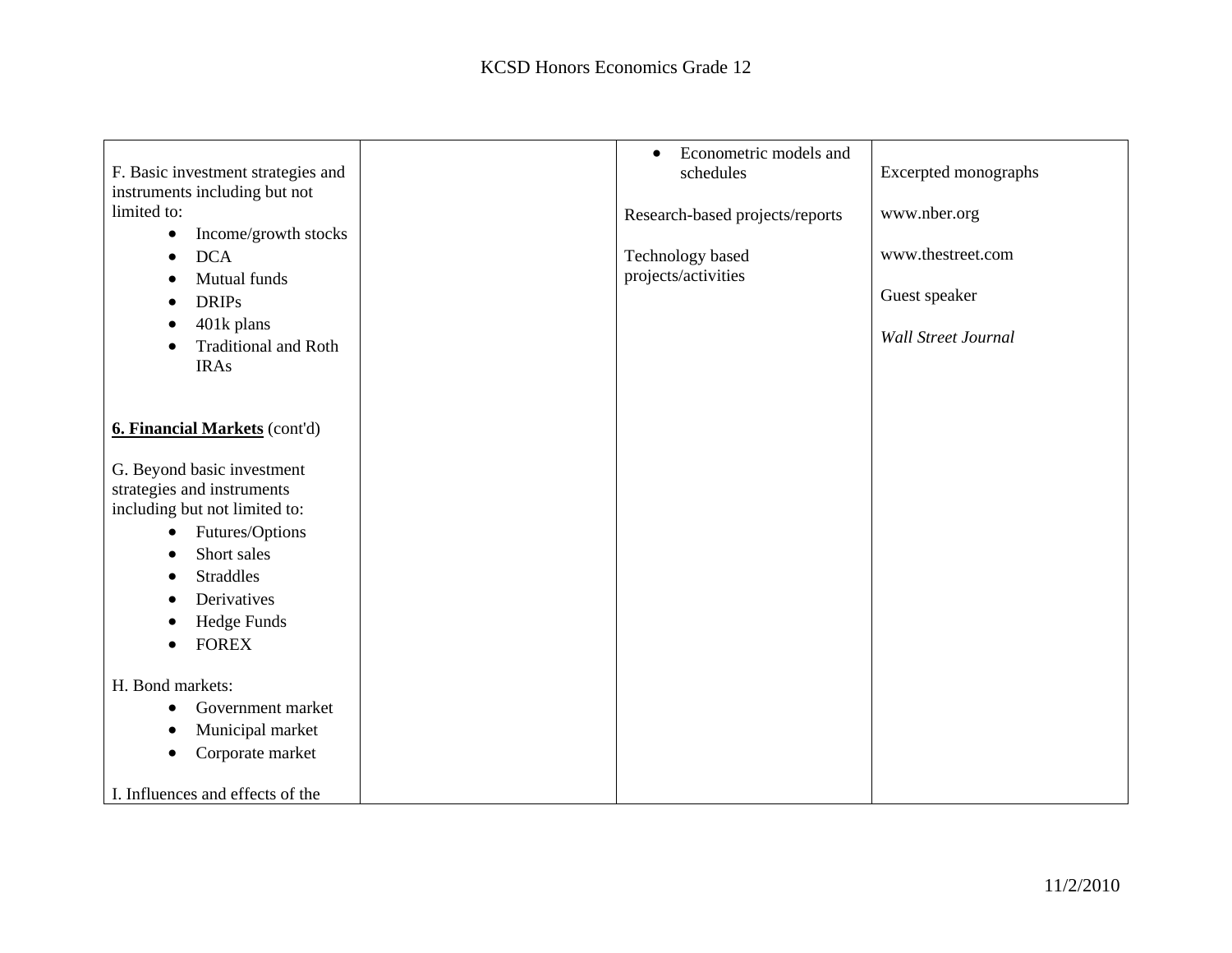| F. Basic investment strategies and<br>instruments including but not                                                                                                                                                            | Econometric models and<br>$\bullet$<br>schedules | Excerpted monographs       |
|--------------------------------------------------------------------------------------------------------------------------------------------------------------------------------------------------------------------------------|--------------------------------------------------|----------------------------|
| limited to:<br>Income/growth stocks<br>$\bullet$                                                                                                                                                                               | Research-based projects/reports                  | www.nber.org               |
| <b>DCA</b><br>$\bullet$                                                                                                                                                                                                        | Technology based<br>projects/activities          | www.thestreet.com          |
| Mutual funds<br>$\bullet$<br><b>DRIPs</b>                                                                                                                                                                                      |                                                  | Guest speaker              |
| 401k plans<br><b>Traditional and Roth</b><br><b>IRAs</b>                                                                                                                                                                       |                                                  | <b>Wall Street Journal</b> |
| <b>6. Financial Markets</b> (cont'd)                                                                                                                                                                                           |                                                  |                            |
| G. Beyond basic investment<br>strategies and instruments<br>including but not limited to:<br>Futures/Options<br>$\bullet$<br>Short sales<br><b>Straddles</b><br>Derivatives<br><b>Hedge Funds</b><br><b>FOREX</b><br>$\bullet$ |                                                  |                            |
| H. Bond markets:<br>Government market<br>$\bullet$<br>Municipal market<br>$\bullet$<br>Corporate market                                                                                                                        |                                                  |                            |
| I. Influences and effects of the                                                                                                                                                                                               |                                                  |                            |